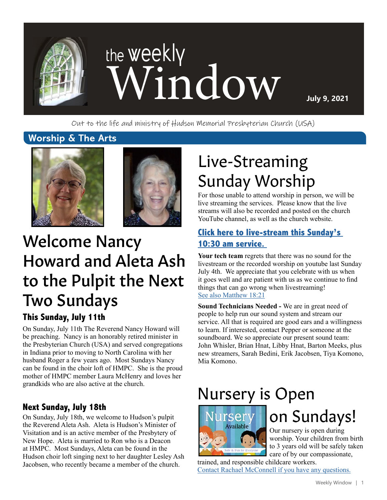

Out to the life and ministry of Hudson Memorial Presbyterian Church (USA)

### **Worship & The Arts**





# Howard and Aleta Ash to the Pulpit the Next Two Sundays

### **This Sunday, July 11th**

On Sunday, July 11th The Reverend Nancy Howard will be preaching. Nancy is an honorably retired minister in the Presbyterian Church (USA) and served congregations in Indiana prior to moving to North Carolina with her husband Roger a few years ago. Most Sundays Nancy can be found in the choir loft of HMPC. She is the proud mother of HMPC member Laura McHenry and loves her grandkids who are also active at the church.

### **Next Sunday, July 18th**

On Sunday, July 18th, we welcome to Hudson's pulpit the Reverend Aleta Ash. Aleta is Hudson's Minister of Visitation and is an active member of the Presbytery of New Hope. Aleta is married to Ron who is a Deacon at HMPC. Most Sundays, Aleta can be found in the Hudson choir loft singing next to her daughter Lesley Ash Jacobsen, who recently became a member of the church.

# Live-Streaming Sunday Worship

For those unable to attend worship in person, we will be live streaming the services. Please know that the live streams will also be recorded and posted on the church YouTube channel, as well as the church website.

# **[Click here to live-stream this Sunday's](https://www.youtube.com/channel/UCuYf7XqKx9g_Mc0_BsPkWlA)** Welcome Nancy **[10:30 am service.](https://www.youtube.com/channel/UCuYf7XqKx9g_Mc0_BsPkWlA)**

**Your tech team** regrets that there was no sound for the livestream or the recorded worship on youtube last Sunday July 4th. We appreciate that you celebrate with us when it goes well and are patient with us as we continue to find things that can go wrong when livestreaming! [See also Matthew 18:21]( https://www.biblegateway.com/passage/?search=Matthew18%3A21&version=NRSV)

**Sound Technicians Needed -** We are in great need of people to help run our sound system and stream our service. All that is required are good ears and a willingness to learn. If interested, contact Pepper or someone at the soundboard. We so appreciate our present sound team: John Whisler, Brian Hnat, Libby Hnat, Barton Meeks, plus new streamers, Sarah Bedini, Erik Jacobsen, Tiya Komono, Mia Komono.

# Nursery is Open



# on Sundays!

Our nursery is open during worship. Your children from birth to 3 years old will be safely taken care of by our compassionate,

trained, and responsible childcare workers. [Contact Rachael McConnell if you have any questions.](mailto:rmcconnell%40hmpc.org?subject=)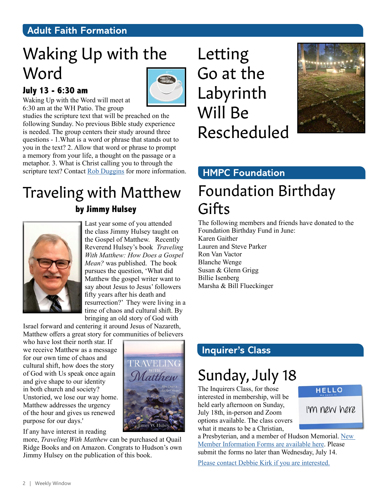# **Adult Faith Formation**

# Waking Up with the Word

### **July 13 - 6:30 am**



Waking Up with the Word will meet at 6:30 am at the WH Patio. The group

studies the scripture text that will be preached on the following Sunday. No previous Bible study experience is needed. The group centers their study around three questions - 1.What is a word or phrase that stands out to you in the text? 2. Allow that word or phrase to prompt a memory from your life, a thought on the passage or a metaphor. 3. What is Christ calling you to through the scripture text? Contact [Rob Duggins](mailto:rduggins65%40gmail.com?subject=) for more information.

# Traveling with Matthew **by Jimmy Hulsey**



Last year some of you attended the class Jimmy Hulsey taught on the Gospel of Matthew. Recently Reverend Hulsey's book *Traveling With Matthew: How Does a Gospel Mean?* was published. The book pursues the question, 'What did Matthew the gospel writer want to say about Jesus to Jesus' followers fifty years after his death and resurrection?' They were living in a time of chaos and cultural shift. By bringing an old story of God with

**TRAVELING** 

Latthew

W. Huls

Israel forward and centering it around Jesus of Nazareth, Matthew offers a great story for communities of believers

who have lost their north star. If we receive Matthew as a message for our own time of chaos and cultural shift, how does the story of God with Us speak once again and give shape to our identity in both church and society? Unstoried, we lose our way home. Matthew addresses the urgency of the hour and gives us renewed purpose for our days.'

If any have interest in reading

more, *Traveling With Matthew* can be purchased at Quail Ridge Books and on Amazon. Congrats to Hudson's own Jimmy Hulsey on the publication of this book.

Letting Go at the Labyrinth Will Be Rescheduled



# **HMPC Foundation**

# Foundation Birthday **Gifts**

The following members and friends have donated to the Foundation Birthday Fund in June:

Karen Gaither Lauren and Steve Parker Ron Van Vactor Blanche Wenge Susan & Glenn Grigg Billie Isenberg Marsha & Bill Flueckinger

## **Inquirer's Class**

# Sunday, July 18

The Inquirers Class, for those interested in membership, will be held early afternoon on Sunday, July 18th, in-person and Zoom options available. The class covers what it means to be a Christian,

a Presbyterian, and a member of Hudson Memorial. [New](https://www.hmpc.org/join-hmpc)  [Member Information Forms are available here.](https://www.hmpc.org/join-hmpc) Please submit the forms no later than Wednesday, July 14.

[Please contact Debbie Kirk](mailto:dkirk%40hmpc.org?subject=) if you are interested.

#### **HELLO**

I'm new here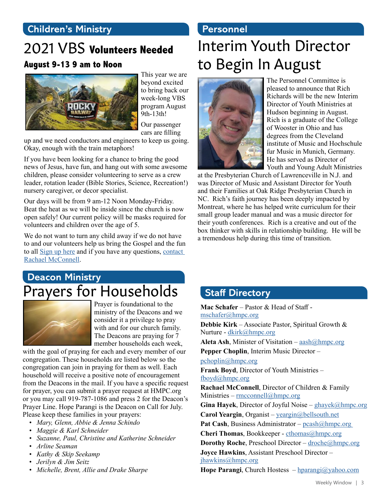# **Children's Ministry**

# 2021 VBS **Volunteers Needed**

### **August 9-13 9 am to Noon**



This year we are beyond excited to bring back our week-long VBS program August 9th-13th!

Our passenger cars are filling

up and we need conductors and engineers to keep us going. Okay, enough with the train metaphors!

If you have been looking for a chance to bring the good news of Jesus, have fun, and hang out with some awesome children, please consider volunteering to serve as a crew leader, rotation leader (Bible Stories, Science, Recreation!) nursery caregiver, or decor specialist.

Our days will be from 9 am-12 Noon Monday-Friday. Beat the heat as we will be inside since the church is now open safely! Our current policy will be masks required for volunteers and children over the age of 5.

We do not want to turn any child away if we do not have to and our volunteers help us bring the Gospel and the fun to all [Sign up here](https://vbspro.events/p/events/hmpcvbs2021) and if you have any questions, [contact](mailto:rmcconnell%40hmpc.org?subject=)  [Rachael McConnell.](mailto:rmcconnell%40hmpc.org?subject=)

# **Deacon Ministry** Prayers for Households



Prayer is foundational to the ministry of the Deacons and we consider it a privilege to pray with and for our church family. The Deacons are praying for 7 member households each week,

with the goal of praying for each and every member of our congregation. These households are listed below so the congregation can join in praying for them as well. Each household will receive a positive note of encouragement from the Deacons in the mail. If you have a specific request for prayer, you can submit a prayer request at HMPC.org or you may call 919-787-1086 and press 2 for the Deacon's Prayer Line. Hope Parangi is the Deacon on Call for July. Please keep these families in your prayers:

- *• Mary, Glenn, Abbie & Jenna Schindo*
- *• Maggie & Karl Schneider*
- *• Suzanne, Paul, Christine and Katherine Schneider*
- *• Arline Seaman*
- *• Kathy & Skip Seekamp*
- *• Jerilyn & Jim Seitz*
- *• Michelle, Brent, Allie and Drake Sharpe*

### **Personnel**

# Interim Youth Director to Begin In August



The Personnel Committee is pleased to announce that Rich Richards will be the new Interim Director of Youth Ministries at Hudson beginning in August. Rich is a graduate of the College of Wooster in Ohio and has degrees from the Cleveland institute of Music and Hochschule fur Music in Munich, Germany. He has served as Director of Youth and Young Adult Ministries

at the Presbyterian Church of Lawrenceville in N.J. and was Director of Music and Assistant Director for Youth and their Families at Oak Ridge Presbyterian Church in NC. Rich's faith journey has been deeply impacted by Montreat, where he has helped write curriculum for their small group leader manual and was a music director for their youth conferences. Rich is a creative and out of the box thinker with skills in relationship building. He will be a tremendous help during this time of transition.

# **Staff Directory**

**Mac Schafer** – Pastor & Head of Staff [mschafer@hmpc.org](mailto:mschafer%40hmpc.org?subject=) **Debbie Kirk** – Associate Pastor, Spiritual Growth & Nurture - [dkirk@hmpc.org](mailto:dkirk%40hmpc.org?subject=) **Aleta Ash**, Minister of Visitation – [aash@hmpc.org](mailto:aash%40hmpc.org?subject=) **Pepper Choplin**, Interim Music Director – [pchoplin@hmpc.org](mailto:pchoplin%40hmpc.org?subject=) **Frank Boyd**, Director of Youth Ministries – [fboyd@hmpc.org](mailto:fboyd%40hmpc.org?subject=) **Rachael McConnell**, Director of Children & Family Ministries – rmcconnel[l@hmpc.org](mailto:rmcconnell%40hmpc.org?subject=) **Gina Hayek**, Director of Joyful Noise – [ghayek@hmpc.org](mailto:ghayek%40hmpc.org?subject=) **Carol Yeargin**, Organist – [yeargin@bellsouth.net](mailto:yeargin%40bellsouth.net?subject=) Pat Cash, Business Administrator – pcash@hmpc.org **Cheri Thomas**, Bookkeeper - [cthomas@hmpc.org](mailto:cthomas%40hmpc.org?subject=) **Dorothy Roche**, Preschool Director – [droche@hmpc.org](mailto:droche%40hmpc.org?subject=) **Joyce Hawkins**, Assistant Preschool Director – [jhawkins@hmpc.org](mailto:jhawkins%40hmpc.org?subject=) **Hope Parangi**, Church Hostess – [hparangi@yahoo.com](mailto:hparangi%40yahoo.com?subject=)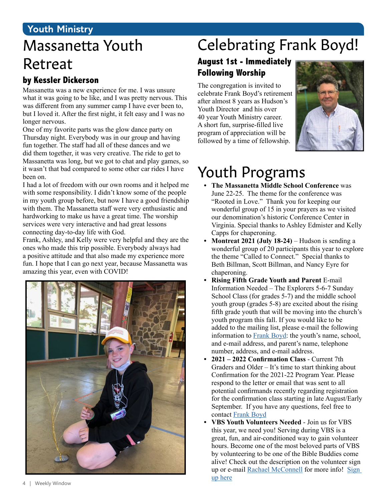# **Youth Ministry**

# Massanetta Youth Retreat

### **by Kessler Dickerson**

Massanetta was a new experience for me. I was unsure what it was going to be like, and I was pretty nervous. This was different from any summer camp I have ever been to, but I loved it. After the first night, it felt easy and I was no longer nervous.

One of my favorite parts was the glow dance party on Thursday night. Everybody was in our group and having fun together. The staff had all of these dances and we did them together, it was very creative. The ride to get to Massanetta was long, but we got to chat and play games, so it wasn't that bad compared to some other car rides I have been on.

I had a lot of freedom with our own rooms and it helped me with some responsibility. I didn't know some of the people in my youth group before, but now I have a good friendship with them. The Massanetta staff were very enthusiastic and hardworking to make us have a great time. The worship services were very interactive and had great lessons connecting day-to-day life with God.

Frank, Ashley, and Kelly were very helpful and they are the ones who made this trip possible. Everybody always had a positive attitude and that also made my experience more fun. I hope that I can go next year, because Massanetta was amazing this year, even with COVID!



# Celebrating Frank Boyd!

### **August 1st - Immediately Following Worship**

The congregation is invited to celebrate Frank Boyd's retirement after almost 8 years as Hudson's Youth Director and his over 40 year Youth Ministry career. A short fun, surprise-filled live program of appreciation will be followed by a time of fellowship.



# Youth Programs

- **• The Massanetta Middle School Conference** was June 22-25. The theme for the conference was "Rooted in Love." Thank you for keeping our wonderful group of 15 in your prayers as we visited our denomination's historic Conference Center in Virginia. Special thanks to Ashley Edmister and Kelly Capps for chaperoning.
- **• Montreat 2021 (July 18-24)** Hudson is sending a wonderful group of 20 participants this year to explore the theme "Called to Connect." Special thanks to Beth Billman, Scott Billman, and Nancy Eyre for chaperoning.
- **• Rising Fifth Grade Youth and Parent** E-mail Information Needed – The Explorers 5-6-7 Sunday School Class (for grades 5-7) and the middle school youth group (grades 5-8) are excited about the rising fifth grade youth that will be moving into the church's youth program this fall. If you would like to be added to the mailing list, please e-mail the following information to [Frank Boyd:](mailto:hmpcyouthgroup%40gmail.com?subject=) the youth's name, school, and e-mail address, and parent's name, telephone number, address, and e-mail address.
- **• 2021 2022 Confirmation Class** Current 7th Graders and Older – It's time to start thinking about Confirmation for the 2021-22 Program Year. Please respond to the letter or email that was sent to all potential confirmands recently regarding registration for the confirmation class starting in late August/Early September. If you have any questions, feel free to contact [Frank Boyd](mailto:hmpcyouthgroup%40gmail.com?subject=)
- **• VBS Youth Volunteers Needed** Join us for VBS this year, we need you! Serving during VBS is a great, fun, and air-conditioned way to gain volunteer hours. Become one of the most beloved parts of VBS by volunteering to be one of the Bible Buddies come alive! Check out the description on the volunteer sign up or e-mail [Rachael McConnell](mailto:rmcconnell%40hmpc.org?subject=) for more info! [Sign](http://vbspro.events/p/hmpcvbs2021
)  [up here](http://vbspro.events/p/hmpcvbs2021
)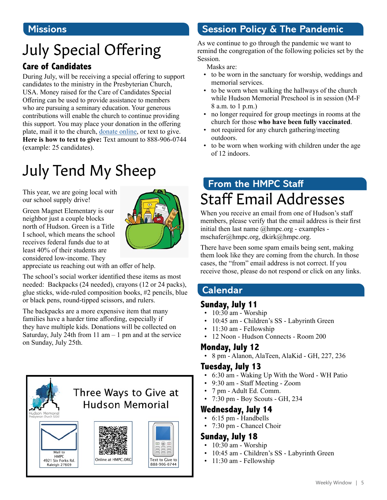### **Missions**

# July Special Offering

### **Care of Candidates**

During July, will be receiving a special offering to support candidates to the ministry in the Presbyterian Church, USA. Money raised for the Care of Candidates Special Offering can be used to provide assistance to members who are pursuing a seminary education. Your generous contributions will enable the church to continue providing this support. You may place your donation in the offering plate, mail it to the church, [donate online](https://www.eservicepayments.com/cgi-bin/Vanco_ver3.vps?appver3=Fi1giPL8kwX_Oe1AO50jRnQ574HZh5kFEHVJ6e5We_Us4NSQukCYDzKLUtTTUlsf2EvVVAEjqawDomKT1pbouTsRltlX7QEmZN4jxtbsYBc=&ver=3), or text to give. **Here is how to text to give:** Text amount to 888-906-0744 (example: 25 candidates).

# July Tend My Sheep

This year, we are going local with our school supply drive!

Green Magnet Elementary is our neighbor just a couple blocks north of Hudson. Green is a Title I school, which means the school receives federal funds due to at least 40% of their students are considered low-income. They



appreciate us reaching out with an offer of help.

The school's social worker identified these items as most needed: Backpacks (24 needed), crayons (12 or 24 packs), glue sticks, wide-ruled composition books, #2 pencils, blue or black pens, round-tipped scissors, and rulers.

The backpacks are a more expensive item that many families have a harder time affording, especially if they have multiple kids. Donations will be collected on Saturday, July 24th from 11 am  $-1$  pm and at the service on Sunday, July 25th.



# **Session Policy & The Pandemic**

As we continue to go through the pandemic we want to remind the congregation of the following policies set by the Session.

Masks are:

- to be worn in the sanctuary for worship, weddings and memorial services.
- to be worn when walking the hallways of the church while Hudson Memorial Preschool is in session (M-F 8 a.m. to 1 p.m.)
- no longer required for group meetings in rooms at the church for those **who have been fully vaccinated**.
- not required for any church gathering/meeting outdoors.
- to be worn when working with children under the age of 12 indoors.

# **From the HMPC Staff** Staff Email Addresses

When you receive an email from one of Hudson's staff members, please verify that the email address is their first initial then last name @hmpc.org - examples mschafer@hmpc.org, dkirk@hmpc.org.

There have been some spam emails being sent, making them look like they are coming from the church. In those cases, the "from" email address is not correct. If you receive those, please do not respond or click on any links.

## **Calendar**

### **Sunday, July 11**

- $\cdot$  10:30 am Worship
- 10:45 am Children's SS Labyrinth Green
- 11:30 am Fellowship
- 12 Noon Hudson Connects Room 200

### **Monday, July 12**

• 8 pm - Alanon, AlaTeen, AlaKid - GH, 227, 236

### **Tuesday, July 13**

- 6:30 am Waking Up With the Word WH Patio
- 9:30 am Staff Meeting Zoom
- 7 pm Adult Ed. Comm.
- 7:30 pm Boy Scouts GH, 234

### **Wednesday, July 14**

- 6:15 pm Handbells
- 7:30 pm Chancel Choir

#### **Sunday, July 18**

- 10:30 am Worship
- 10:45 am Children's SS Labyrinth Green
- 11:30 am Fellowship